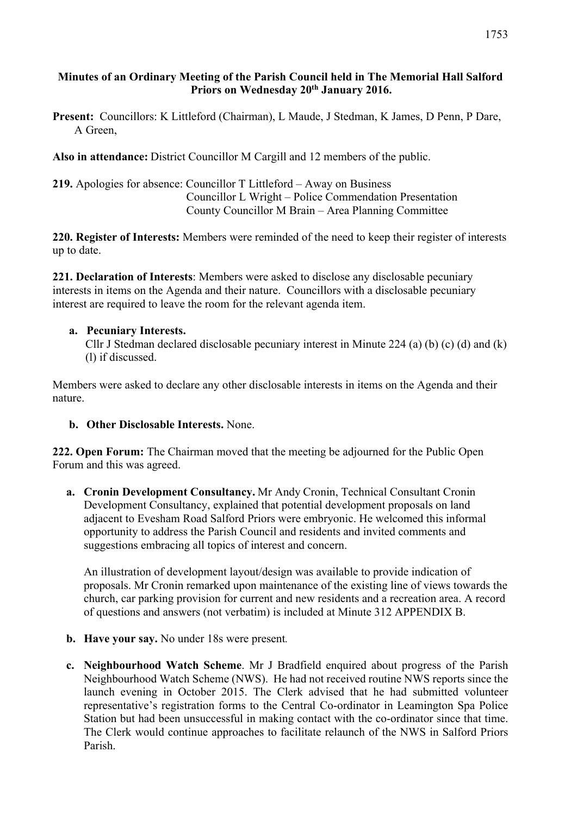### **Minutes of an Ordinary Meeting of the Parish Council held in The Memorial Hall Salford Priors on Wednesday 20th January 2016.**

**Present:** Councillors: K Littleford (Chairman), L Maude, J Stedman, K James, D Penn, P Dare, A Green,

**Also in attendance:** District Councillor M Cargill and 12 members of the public.

**219.** Apologies for absence: Councillor T Littleford – Away on Business Councillor L Wright – Police Commendation Presentation County Councillor M Brain – Area Planning Committee

**220. Register of Interests:** Members were reminded of the need to keep their register of interests up to date.

**221. Declaration of Interests**: Members were asked to disclose any disclosable pecuniary interests in items on the Agenda and their nature. Councillors with a disclosable pecuniary interest are required to leave the room for the relevant agenda item.

#### **a. Pecuniary Interests.**

Cllr J Stedman declared disclosable pecuniary interest in Minute 224 (a) (b) (c) (d) and (k) (l) if discussed.

Members were asked to declare any other disclosable interests in items on the Agenda and their nature.

#### **b. Other Disclosable Interests.** None.

**222. Open Forum:** The Chairman moved that the meeting be adjourned for the Public Open Forum and this was agreed.

**a. Cronin Development Consultancy.** Mr Andy Cronin, Technical Consultant Cronin Development Consultancy, explained that potential development proposals on land adjacent to Evesham Road Salford Priors were embryonic. He welcomed this informal opportunity to address the Parish Council and residents and invited comments and suggestions embracing all topics of interest and concern.

An illustration of development layout/design was available to provide indication of proposals. Mr Cronin remarked upon maintenance of the existing line of views towards the church, car parking provision for current and new residents and a recreation area. A record of questions and answers (not verbatim) is included at Minute 312 APPENDIX B.

- **b. Have your say.** No under 18s were present*.*
- **c. Neighbourhood Watch Scheme**. Mr J Bradfield enquired about progress of the Parish Neighbourhood Watch Scheme (NWS). He had not received routine NWS reports since the launch evening in October 2015. The Clerk advised that he had submitted volunteer representative's registration forms to the Central Co-ordinator in Leamington Spa Police Station but had been unsuccessful in making contact with the co-ordinator since that time. The Clerk would continue approaches to facilitate relaunch of the NWS in Salford Priors Parish.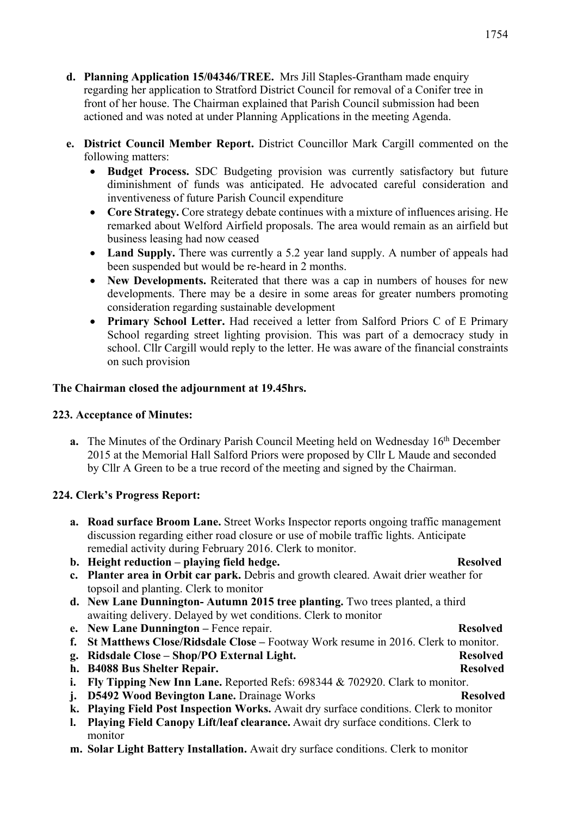- **d. Planning Application 15/04346/TREE.** Mrs Jill Staples-Grantham made enquiry regarding her application to Stratford District Council for removal of a Conifer tree in front of her house. The Chairman explained that Parish Council submission had been actioned and was noted at under Planning Applications in the meeting Agenda.
- **e. District Council Member Report.** District Councillor Mark Cargill commented on the following matters:
	- **Budget Process.** SDC Budgeting provision was currently satisfactory but future diminishment of funds was anticipated. He advocated careful consideration and inventiveness of future Parish Council expenditure
	- **Core Strategy.** Core strategy debate continues with a mixture of influences arising. He remarked about Welford Airfield proposals. The area would remain as an airfield but business leasing had now ceased
	- Land Supply. There was currently a 5.2 year land supply. A number of appeals had been suspended but would be re-heard in 2 months.
	- **New Developments.** Reiterated that there was a cap in numbers of houses for new developments. There may be a desire in some areas for greater numbers promoting consideration regarding sustainable development
	- **Primary School Letter.** Had received a letter from Salford Priors C of E Primary School regarding street lighting provision. This was part of a democracy study in school. Cllr Cargill would reply to the letter. He was aware of the financial constraints on such provision

### **The Chairman closed the adjournment at 19.45hrs.**

#### **223. Acceptance of Minutes:**

**a.** The Minutes of the Ordinary Parish Council Meeting held on Wednesday 16<sup>th</sup> December 2015 at the Memorial Hall Salford Priors were proposed by Cllr L Maude and seconded by Cllr A Green to be a true record of the meeting and signed by the Chairman.

### **224. Clerk's Progress Report:**

- **a. Road surface Broom Lane.** Street Works Inspector reports ongoing traffic management discussion regarding either road closure or use of mobile traffic lights. Anticipate remedial activity during February 2016. Clerk to monitor.
- **b. Height reduction – playing field hedge.** Resolved
- **c. Planter area in Orbit car park.** Debris and growth cleared. Await drier weather for topsoil and planting. Clerk to monitor
- **d. New Lane Dunnington- Autumn 2015 tree planting.** Two trees planted, a third awaiting delivery. Delayed by wet conditions. Clerk to monitor
- **e. New Lane Dunnington –** Fence repair. **Resolved**
- **f. St Matthews Close/Ridsdale Close –** Footway Work resume in 2016. Clerk to monitor.
- **g. Ridsdale Close – Shop/PO External Light. Resolved**
- **h. B4088 Bus Shelter Repair. Resolved**
- **i. Fly Tipping New Inn Lane.** Reported Refs: 698344 & 702920. Clark to monitor.
- **j. D5492 Wood Bevington Lane.** Drainage Works **Resolved**
- **k. Playing Field Post Inspection Works.** Await dry surface conditions. Clerk to monitor
- **l. Playing Field Canopy Lift/leaf clearance.** Await dry surface conditions. Clerk to monitor
- **m. Solar Light Battery Installation.** Await dry surface conditions. Clerk to monitor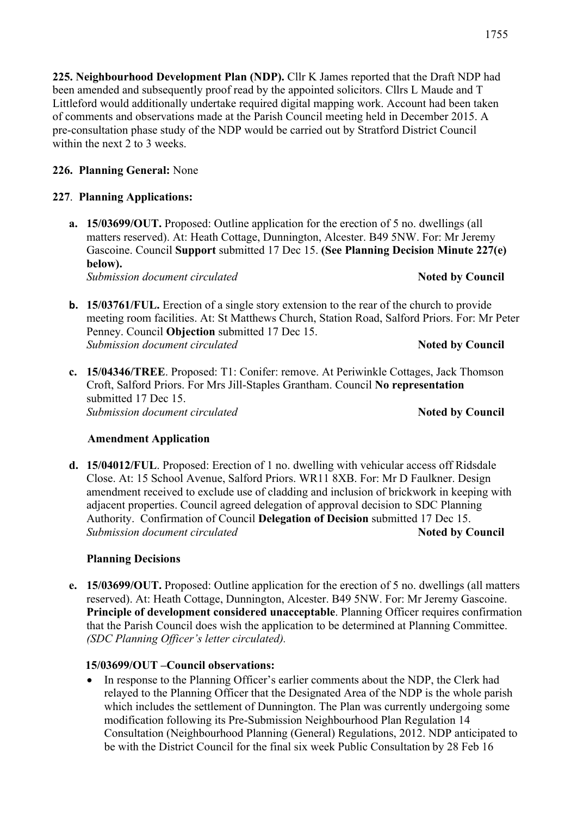**225. Neighbourhood Development Plan (NDP).** Cllr K James reported that the Draft NDP had been amended and subsequently proof read by the appointed solicitors. Cllrs L Maude and T Littleford would additionally undertake required digital mapping work. Account had been taken of comments and observations made at the Parish Council meeting held in December 2015. A pre-consultation phase study of the NDP would be carried out by Stratford District Council within the next 2 to 3 weeks.

# **226. Planning General:** None

# **227**. **Planning Applications:**

**a. 15/03699/OUT.** Proposed: Outline application for the erection of 5 no. dwellings (all matters reserved). At: Heath Cottage, Dunnington, Alcester. B49 5NW. For: Mr Jeremy Gascoine. Council **Support** submitted 17 Dec 15. **(See Planning Decision Minute 227(e) below).** 

*Submission document circulated Noted by Council* 

- **b. 15/03761/FUL.** Erection of a single story extension to the rear of the church to provide meeting room facilities. At: St Matthews Church, Station Road, Salford Priors. For: Mr Peter Penney. Council **Objection** submitted 17 Dec 15. **Submission document circulated <b>Algebra Noted by Council**
- **c. 15/04346/TREE**. Proposed: T1: Conifer: remove. At Periwinkle Cottages, Jack Thomson Croft, Salford Priors. For Mrs Jill-Staples Grantham. Council **No representation** submitted 17 Dec 15. **Submission document circulated <b>Algebra Noted by Council**

### **Amendment Application**

**d. 15/04012/FUL**. Proposed: Erection of 1 no. dwelling with vehicular access off Ridsdale Close. At: 15 School Avenue, Salford Priors. WR11 8XB. For: Mr D Faulkner. Design amendment received to exclude use of cladding and inclusion of brickwork in keeping with adjacent properties. Council agreed delegation of approval decision to SDC Planning Authority. Confirmation of Council **Delegation of Decision** submitted 17 Dec 15. *Submission document circulated Noted by Council* 

### **Planning Decisions**

**e. 15/03699/OUT.** Proposed: Outline application for the erection of 5 no. dwellings (all matters reserved). At: Heath Cottage, Dunnington, Alcester. B49 5NW. For: Mr Jeremy Gascoine. **Principle of development considered unacceptable**. Planning Officer requires confirmation that the Parish Council does wish the application to be determined at Planning Committee. *(SDC Planning Officer's letter circulated).*

# **15/03699/OUT –Council observations:**

• In response to the Planning Officer's earlier comments about the NDP, the Clerk had relayed to the Planning Officer that the Designated Area of the NDP is the whole parish which includes the settlement of Dunnington. The Plan was currently undergoing some modification following its Pre-Submission Neighbourhood Plan Regulation 14 Consultation (Neighbourhood Planning (General) Regulations, 2012. NDP anticipated to be with the District Council for the final six week Public Consultation by 28 Feb 16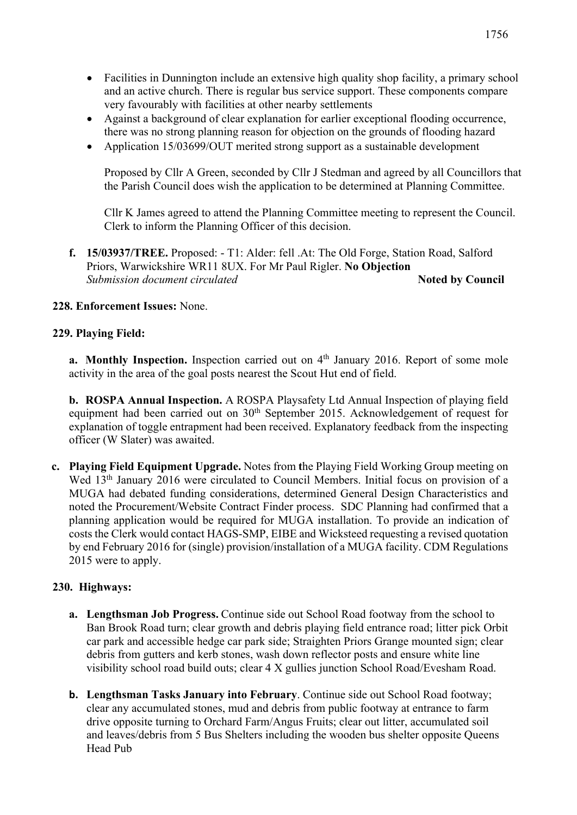- Facilities in Dunnington include an extensive high quality shop facility, a primary school and an active church. There is regular bus service support. These components compare very favourably with facilities at other nearby settlements
- Against a background of clear explanation for earlier exceptional flooding occurrence, there was no strong planning reason for objection on the grounds of flooding hazard
- Application 15/03699/OUT merited strong support as a sustainable development

Proposed by Cllr A Green, seconded by Cllr J Stedman and agreed by all Councillors that the Parish Council does wish the application to be determined at Planning Committee.

Cllr K James agreed to attend the Planning Committee meeting to represent the Council. Clerk to inform the Planning Officer of this decision.

**f. 15/03937/TREE.** Proposed: - T1: Alder: fell .At: The Old Forge, Station Road, Salford Priors, Warwickshire WR11 8UX. For Mr Paul Rigler. **No Objection Submission document circulated <b>Algebra Noted by Council** 

#### **228. Enforcement Issues:** None.

#### **229. Playing Field:**

**a.** Monthly Inspection. Inspection carried out on 4<sup>th</sup> January 2016. Report of some mole activity in the area of the goal posts nearest the Scout Hut end of field.

**b. ROSPA Annual Inspection.** A ROSPA Playsafety Ltd Annual Inspection of playing field equipment had been carried out on 30<sup>th</sup> September 2015. Acknowledgement of request for explanation of toggle entrapment had been received. Explanatory feedback from the inspecting officer (W Slater) was awaited.

**c. Playing Field Equipment Upgrade.** Notes from **t**he Playing Field Working Group meeting on Wed 13<sup>th</sup> January 2016 were circulated to Council Members. Initial focus on provision of a MUGA had debated funding considerations, determined General Design Characteristics and noted the Procurement/Website Contract Finder process. SDC Planning had confirmed that a planning application would be required for MUGA installation. To provide an indication of costs the Clerk would contact HAGS-SMP, EIBE and Wicksteed requesting a revised quotation by end February 2016 for (single) provision/installation of a MUGA facility. CDM Regulations 2015 were to apply.

#### **230. Highways:**

- **a. Lengthsman Job Progress.** Continue side out School Road footway from the school to Ban Brook Road turn; clear growth and debris playing field entrance road; litter pick Orbit car park and accessible hedge car park side; Straighten Priors Grange mounted sign; clear debris from gutters and kerb stones, wash down reflector posts and ensure white line visibility school road build outs; clear 4 X gullies junction School Road/Evesham Road.
- **b. Lengthsman Tasks January into February**. Continue side out School Road footway; clear any accumulated stones, mud and debris from public footway at entrance to farm drive opposite turning to Orchard Farm/Angus Fruits; clear out litter, accumulated soil and leaves/debris from 5 Bus Shelters including the wooden bus shelter opposite Queens Head Pub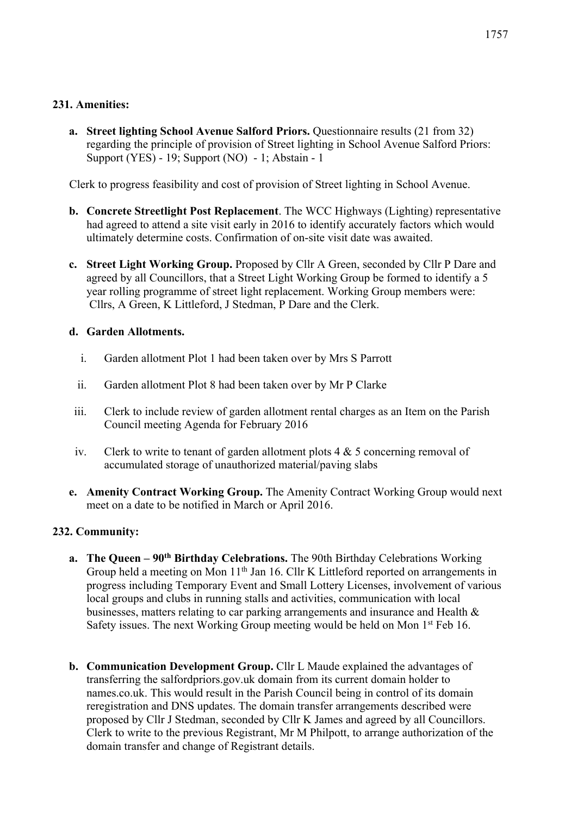#### **231. Amenities:**

**a. Street lighting School Avenue Salford Priors.** Questionnaire results (21 from 32) regarding the principle of provision of Street lighting in School Avenue Salford Priors: Support (YES) - 19; Support (NO) - 1; Abstain - 1

Clerk to progress feasibility and cost of provision of Street lighting in School Avenue.

- **b. Concrete Streetlight Post Replacement**. The WCC Highways (Lighting) representative had agreed to attend a site visit early in 2016 to identify accurately factors which would ultimately determine costs. Confirmation of on-site visit date was awaited.
- **c. Street Light Working Group.** Proposed by Cllr A Green, seconded by Cllr P Dare and agreed by all Councillors, that a Street Light Working Group be formed to identify a 5 year rolling programme of street light replacement. Working Group members were: Cllrs, A Green, K Littleford, J Stedman, P Dare and the Clerk.

#### **d. Garden Allotments.**

- i. Garden allotment Plot 1 had been taken over by Mrs S Parrott
- ii. Garden allotment Plot 8 had been taken over by Mr P Clarke
- iii. Clerk to include review of garden allotment rental charges as an Item on the Parish Council meeting Agenda for February 2016
- iv. Clerk to write to tenant of garden allotment plots  $4 \& 5$  concerning removal of accumulated storage of unauthorized material/paving slabs
- **e. Amenity Contract Working Group.** The Amenity Contract Working Group would next meet on a date to be notified in March or April 2016.

### **232. Community:**

- **a. The Queen – 90th Birthday Celebrations.** The 90th Birthday Celebrations Working Group held a meeting on Mon 11<sup>th</sup> Jan 16. Cllr K Littleford reported on arrangements in progress including Temporary Event and Small Lottery Licenses, involvement of various local groups and clubs in running stalls and activities, communication with local businesses, matters relating to car parking arrangements and insurance and Health & Safety issues. The next Working Group meeting would be held on Mon  $1<sup>st</sup>$  Feb 16.
- **b. Communication Development Group.** Cllr L Maude explained the advantages of transferring the salfordpriors.gov.uk domain from its current domain holder to names.co.uk. This would result in the Parish Council being in control of its domain reregistration and DNS updates. The domain transfer arrangements described were proposed by Cllr J Stedman, seconded by Cllr K James and agreed by all Councillors. Clerk to write to the previous Registrant, Mr M Philpott, to arrange authorization of the domain transfer and change of Registrant details.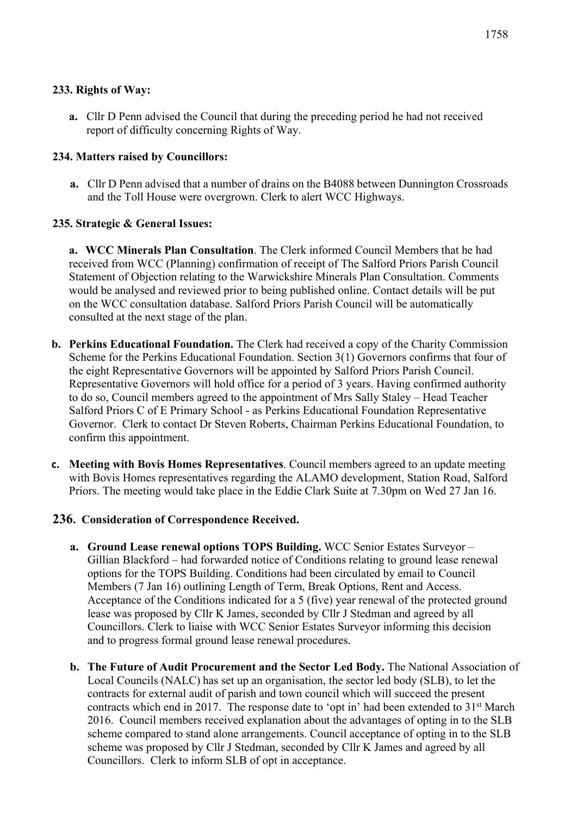**a.** Cllr D Penn advised the Council that during the preceding period he had not received report of difficulty concerning Rights of Way.

## **234. Matters raised by Councillors:**

**a.** Cllr D Penn advised that a number of drains on the B4088 between Dunnington Crossroads and the Toll House were overgrown. Clerk to alert WCC Highways.

# **235. Strategic & General Issues:**

**a. WCC Minerals Plan Consultation**. The Clerk informed Council Members that he had received from WCC (Planning) confirmation of receipt of The Salford Priors Parish Council Statement of Objection relating to the Warwickshire Minerals Plan Consultation. Comments would be analysed and reviewed prior to being published online. Contact details will be put on the WCC consultation database. Salford Priors Parish Council will be automatically consulted at the next stage of the plan.

- **b. Perkins Educational Foundation.** The Clerk had received a copy of the Charity Commission Scheme for the Perkins Educational Foundation. Section 3(1) Governors confirms that four of the eight Representative Governors will be appointed by Salford Priors Parish Council. Representative Governors will hold office for a period of 3 years. Having confirmed authority to do so, Council members agreed to the appointment of Mrs Sally Staley – Head Teacher Salford Priors C of E Primary School - as Perkins Educational Foundation Representative Governor. Clerk to contact Dr Steven Roberts, Chairman Perkins Educational Foundation, to confirm this appointment.
- **c. Meeting with Bovis Homes Representatives**. Council members agreed to an update meeting with Bovis Homes representatives regarding the ALAMO development, Station Road, Salford Priors. The meeting would take place in the Eddie Clark Suite at 7.30pm on Wed 27 Jan 16.

### **236. Consideration of Correspondence Received.**

- **a. Ground Lease renewal options TOPS Building.** WCC Senior Estates Surveyor Gillian Blackford – had forwarded notice of Conditions relating to ground lease renewal options for the TOPS Building. Conditions had been circulated by email to Council Members (7 Jan 16) outlining Length of Term, Break Options, Rent and Access. Acceptance of the Conditions indicated for a 5 (five) year renewal of the protected ground lease was proposed by Cllr K James, seconded by Cllr J Stedman and agreed by all Councillors. Clerk to liaise with WCC Senior Estates Surveyor informing this decision and to progress formal ground lease renewal procedures.
- **b. The Future of Audit Procurement and the Sector Led Body.** The National Association of Local Councils (NALC) has set up an organisation, the sector led body (SLB), to let the contracts for external audit of parish and town council which will succeed the present contracts which end in 2017. The response date to 'opt in' had been extended to 31<sup>st</sup> March 2016. Council members received explanation about the advantages of opting in to the SLB scheme compared to stand alone arrangements. Council acceptance of opting in to the SLB scheme was proposed by Cllr J Stedman, seconded by Cllr K James and agreed by all Councillors. Clerk to inform SLB of opt in acceptance.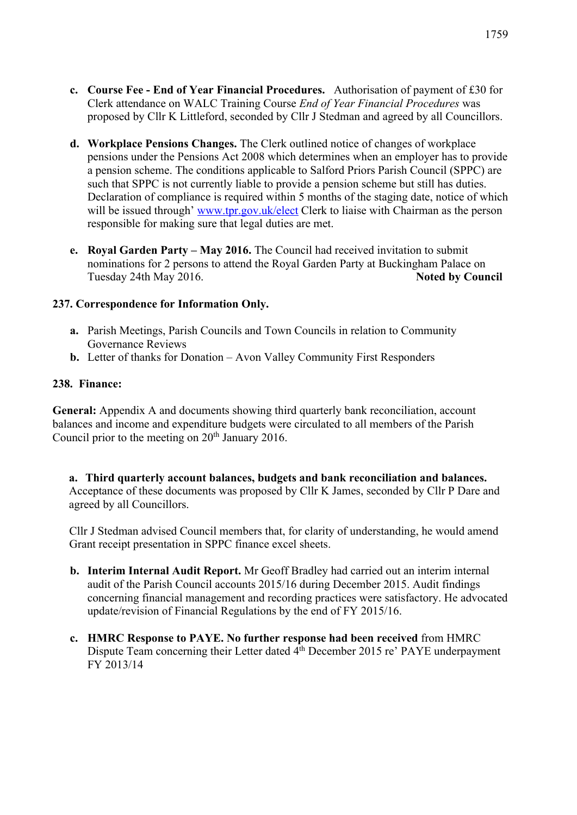- **c. Course Fee - End of Year Financial Procedures.** Authorisation of payment of £30 for Clerk attendance on WALC Training Course *End of Year Financial Procedures* was proposed by Cllr K Littleford, seconded by Cllr J Stedman and agreed by all Councillors.
- **d. Workplace Pensions Changes.** The Clerk outlined notice of changes of workplace pensions under the Pensions Act 2008 which determines when an employer has to provide a pension scheme. The conditions applicable to Salford Priors Parish Council (SPPC) are such that SPPC is not currently liable to provide a pension scheme but still has duties. Declaration of compliance is required within 5 months of the staging date, notice of which will be issued through' www.tpr.gov.uk/elect Clerk to liaise with Chairman as the person responsible for making sure that legal duties are met.
- **e. Royal Garden Party – May 2016.** The Council had received invitation to submit nominations for 2 persons to attend the Royal Garden Party at Buckingham Palace on Tuesday 24th May 2016. **Noted by Council**

#### **237. Correspondence for Information Only.**

- **a.** Parish Meetings, Parish Councils and Town Councils in relation to Community Governance Reviews
- **b.** Letter of thanks for Donation Avon Valley Community First Responders

#### **238. Finance:**

**General:** Appendix A and documents showing third quarterly bank reconciliation, account balances and income and expenditure budgets were circulated to all members of the Parish Council prior to the meeting on  $20<sup>th</sup>$  January 2016.

**a. Third quarterly account balances, budgets and bank reconciliation and balances.** Acceptance of these documents was proposed by Cllr K James, seconded by Cllr P Dare and agreed by all Councillors.

Cllr J Stedman advised Council members that, for clarity of understanding, he would amend Grant receipt presentation in SPPC finance excel sheets.

- **b. Interim Internal Audit Report.** Mr Geoff Bradley had carried out an interim internal audit of the Parish Council accounts 2015/16 during December 2015. Audit findings concerning financial management and recording practices were satisfactory. He advocated update/revision of Financial Regulations by the end of FY 2015/16.
- **c. HMRC Response to PAYE. No further response had been received** from HMRC Dispute Team concerning their Letter dated 4th December 2015 re' PAYE underpayment FY 2013/14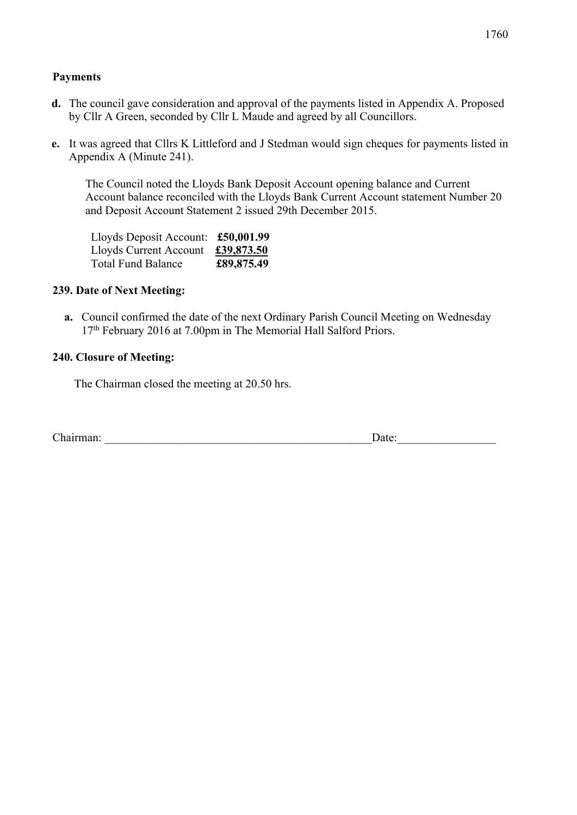#### **Payments**

- **d.** The council gave consideration and approval of the payments listed in Appendix A. Proposed by Cllr A Green, seconded by Cllr L Maude and agreed by all Councillors.
- **e.** It was agreed that Cllrs K Littleford and J Stedman would sign cheques for payments listed in Appendix A (Minute 241).

The Council noted the Lloyds Bank Deposit Account opening balance and Current Account balance reconciled with the Lloyds Bank Current Account statement Number 20 and Deposit Account Statement 2 issued 29th December 2015.

| Lloyds Deposit Account: £50,001.99 |            |
|------------------------------------|------------|
| Lloyds Current Account             | £39,873.50 |
| Total Fund Balance                 | £89,875.49 |

#### **239. Date of Next Meeting:**

**a.** Council confirmed the date of the next Ordinary Parish Council Meeting on Wednesday 17<sup>th</sup> February 2016 at 7.00pm in The Memorial Hall Salford Priors.

#### **240. Closure of Meeting:**

The Chairman closed the meeting at 20.50 hrs.

| $\sim$ 1<br>Chairman:<br>Jate: |  |
|--------------------------------|--|
|--------------------------------|--|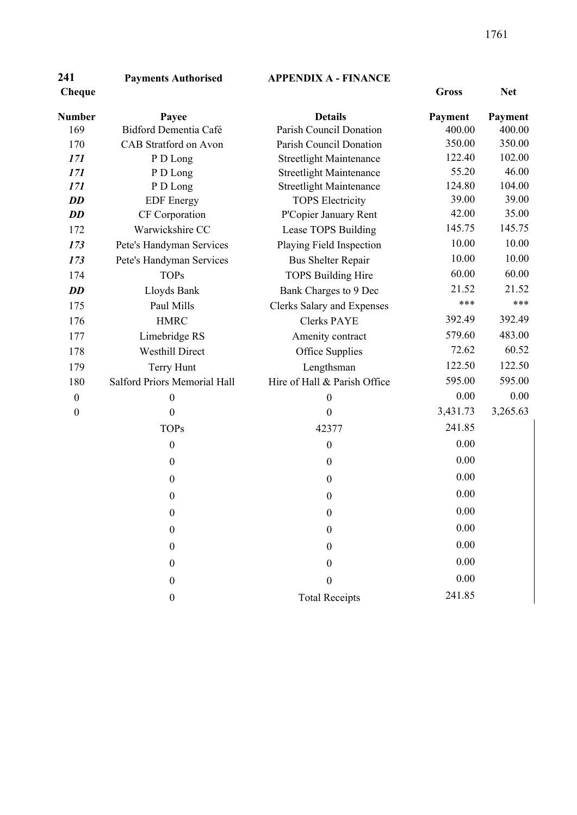# **Payments Authorised APPENDIX A - FINANCE Cheque Gross Net**

| <b>Number</b>    | Payee                               | <b>Details</b>                    | Payment  | Payment  |
|------------------|-------------------------------------|-----------------------------------|----------|----------|
| 169              | Bidford Dementia Café               | Parish Council Donation           | 400.00   | 400.00   |
| 170              | <b>CAB</b> Stratford on Avon        | Parish Council Donation           | 350.00   | 350.00   |
| 171              | P D Long                            | <b>Streetlight Maintenance</b>    | 122.40   | 102.00   |
| 171              | P D Long                            | <b>Streetlight Maintenance</b>    | 55.20    | 46.00    |
| 171              | P D Long                            | <b>Streetlight Maintenance</b>    | 124.80   | 104.00   |
| <b>DD</b>        | <b>EDF</b> Energy                   | <b>TOPS Electricity</b>           | 39.00    | 39.00    |
| <b>DD</b>        | CF Corporation                      | P'Copier January Rent             | 42.00    | 35.00    |
| 172              | Warwickshire CC                     | Lease TOPS Building               | 145.75   | 145.75   |
| 173              | Pete's Handyman Services            | Playing Field Inspection          | 10.00    | 10.00    |
| 173              | Pete's Handyman Services            | <b>Bus Shelter Repair</b>         | 10.00    | 10.00    |
| 174              | <b>TOPs</b>                         | <b>TOPS Building Hire</b>         | 60.00    | 60.00    |
| <b>DD</b>        | Lloyds Bank                         | Bank Charges to 9 Dec             | 21.52    | 21.52    |
| 175              | Paul Mills                          | <b>Clerks Salary and Expenses</b> | ***      | ***      |
| 176              | <b>HMRC</b>                         | <b>Clerks PAYE</b>                | 392.49   | 392.49   |
| 177              | Limebridge RS                       | Amenity contract                  | 579.60   | 483.00   |
| 178              | <b>Westhill Direct</b>              | Office Supplies                   | 72.62    | 60.52    |
| 179              | Terry Hunt                          | Lengthsman                        | 122.50   | 122.50   |
| 180              | <b>Salford Priors Memorial Hall</b> | Hire of Hall & Parish Office      | 595.00   | 595.00   |
| $\boldsymbol{0}$ | $\boldsymbol{0}$                    | $\boldsymbol{0}$                  | 0.00     | 0.00     |
| $\boldsymbol{0}$ | $\mathbf{0}$                        | $\overline{0}$                    | 3,431.73 | 3,265.63 |
|                  | <b>TOPs</b>                         | 42377                             | 241.85   |          |
|                  | $\boldsymbol{0}$                    | $\boldsymbol{0}$                  | 0.00     |          |
|                  | $\boldsymbol{0}$                    | $\boldsymbol{0}$                  | 0.00     |          |
|                  | $\boldsymbol{0}$                    | $\boldsymbol{0}$                  | 0.00     |          |
|                  | $\boldsymbol{0}$                    | $\boldsymbol{0}$                  | 0.00     |          |
|                  | $\boldsymbol{0}$                    | $\boldsymbol{0}$                  | 0.00     |          |
|                  | $\boldsymbol{0}$                    | $\boldsymbol{0}$                  | 0.00     |          |
|                  | $\boldsymbol{0}$                    | $\boldsymbol{0}$                  | 0.00     |          |
|                  | $\boldsymbol{0}$                    | $\boldsymbol{0}$                  | 0.00     |          |
|                  |                                     |                                   |          |          |
|                  | $\boldsymbol{0}$                    | $\boldsymbol{0}$                  | 0.00     |          |